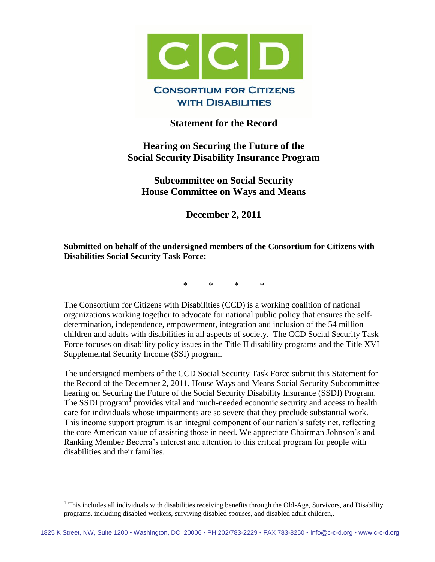

## **Statement for the Record**

# **Hearing on Securing the Future of the Social Security Disability Insurance Program**

**Subcommittee on Social Security House Committee on Ways and Means**

**December 2, 2011**

## **Submitted on behalf of the undersigned members of the Consortium for Citizens with Disabilities Social Security Task Force:**

\* \* \* \*

The Consortium for Citizens with Disabilities (CCD) is a working coalition of national organizations working together to advocate for national public policy that ensures the selfdetermination, independence, empowerment, integration and inclusion of the 54 million children and adults with disabilities in all aspects of society. The CCD Social Security Task Force focuses on disability policy issues in the Title II disability programs and the Title XVI Supplemental Security Income (SSI) program.

The undersigned members of the CCD Social Security Task Force submit this Statement for the Record of the December 2, 2011, House Ways and Means Social Security Subcommittee hearing on Securing the Future of the Social Security Disability Insurance (SSDI) Program. The SSDI program<sup>1</sup> provides vital and much-needed economic security and access to health care for individuals whose impairments are so severe that they preclude substantial work. This income support program is an integral component of our nation's safety net, reflecting the core American value of assisting those in need. We appreciate Chairman Johnson's and Ranking Member Becerra's interest and attention to this critical program for people with disabilities and their families.

 $\overline{a}$ 

 $1$  This includes all individuals with disabilities receiving benefits through the Old-Age, Survivors, and Disability programs, including disabled workers, surviving disabled spouses, and disabled adult children,.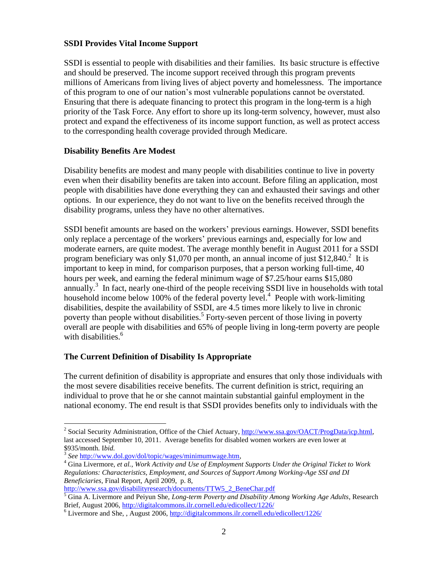### **SSDI Provides Vital Income Support**

SSDI is essential to people with disabilities and their families. Its basic structure is effective and should be preserved. The income support received through this program prevents millions of Americans from living lives of abject poverty and homelessness. The importance of this program to one of our nation's most vulnerable populations cannot be overstated. Ensuring that there is adequate financing to protect this program in the long-term is a high priority of the Task Force. Any effort to shore up its long-term solvency, however, must also protect and expand the effectiveness of its income support function, as well as protect access to the corresponding health coverage provided through Medicare.

#### **Disability Benefits Are Modest**

Disability benefits are modest and many people with disabilities continue to live in poverty even when their disability benefits are taken into account. Before filing an application, most people with disabilities have done everything they can and exhausted their savings and other options. In our experience, they do not want to live on the benefits received through the disability programs, unless they have no other alternatives.

SSDI benefit amounts are based on the workers' previous earnings. However, SSDI benefits only replace a percentage of the workers' previous earnings and, especially for low and moderate earners, are quite modest. The average monthly benefit in August 2011 for a SSDI program beneficiary was only \$1,070 per month, an annual income of just \$12,840.<sup>2</sup> It is important to keep in mind, for comparison purposes, that a person working full-time, 40 hours per week, and earning the federal minimum wage of \$7.25/hour earns \$15,080 annually.<sup>3</sup> In fact, nearly one-third of the people receiving SSDI live in households with total household income below 100% of the federal poverty level.<sup>4</sup> People with work-limiting disabilities, despite the availability of SSDI, are 4.5 times more likely to live in chronic poverty than people without disabilities.<sup>5</sup> Forty-seven percent of those living in poverty overall are people with disabilities and 65% of people living in long-term poverty are people with disabilities.<sup>6</sup>

## **The Current Definition of Disability Is Appropriate**

The current definition of disability is appropriate and ensures that only those individuals with the most severe disabilities receive benefits. The current definition is strict, requiring an individual to prove that he or she cannot maintain substantial gainful employment in the national economy. The end result is that SSDI provides benefits only to individuals with the

 $\overline{a}$ 

[http://www.ssa.gov/disabilityresearch/documents/TTW5\\_2\\_BeneChar.pdf](http://www.ssa.gov/disabilityresearch/documents/TTW5_2_BeneChar.pdf)

<sup>&</sup>lt;sup>2</sup> Social Security Administration, Office of the Chief Actuary, http://www.ssa.gov/OACT/ProgData/icp.html, last accessed September 10, 2011. Average benefits for disabled women workers are even lower at \$935/month. I*bid.* 

<sup>3</sup> *See* <http://www.dol.gov/dol/topic/wages/minimumwage.htm>*,* 

<sup>4</sup> Gina Livermore, *et al.*, *Work Activity and Use of Employment Supports Under the Original Ticket to Work Regulations: Characteristics, Employment, and Sources of Support Among Working-Age SSI and DI Beneficiaries*, Final Report, April 2009, p. 8,

<sup>5</sup> Gina A. Livermore and Peiyun She, *Long-term Poverty and Disability Among Working Age Adults*, Research Brief, August 2006,<http://digitalcommons.ilr.cornell.edu/edicollect/1226/>

<sup>6</sup> Livermore and She, , August 2006,<http://digitalcommons.ilr.cornell.edu/edicollect/1226/>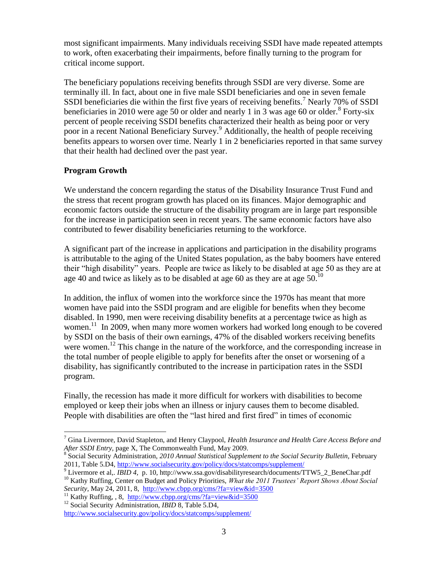most significant impairments. Many individuals receiving SSDI have made repeated attempts to work, often exacerbating their impairments, before finally turning to the program for critical income support.

The beneficiary populations receiving benefits through SSDI are very diverse. Some are terminally ill. In fact, about one in five male SSDI beneficiaries and one in seven female SSDI beneficiaries die within the first five years of receiving benefits.<sup>7</sup> Nearly 70% of SSDI beneficiaries in 2010 were age 50 or older and nearly 1 in 3 was age 60 or older.<sup>8</sup> Forty-six percent of people receiving SSDI benefits characterized their health as being poor or very poor in a recent National Beneficiary Survey. <sup>9</sup> Additionally, the health of people receiving benefits appears to worsen over time. Nearly 1 in 2 beneficiaries reported in that same survey that their health had declined over the past year.

## **Program Growth**

We understand the concern regarding the status of the Disability Insurance Trust Fund and the stress that recent program growth has placed on its finances. Major demographic and economic factors outside the structure of the disability program are in large part responsible for the increase in participation seen in recent years. The same economic factors have also contributed to fewer disability beneficiaries returning to the workforce.

A significant part of the increase in applications and participation in the disability programs is attributable to the aging of the United States population, as the baby boomers have entered their "high disability" years. People are twice as likely to be disabled at age 50 as they are at age 40 and twice as likely as to be disabled at age 60 as they are at age  $50^{10}$ 

In addition, the influx of women into the workforce since the 1970s has meant that more women have paid into the SSDI program and are eligible for benefits when they become disabled. In 1990, men were receiving disability benefits at a percentage twice as high as women.<sup>11</sup> In 2009, when many more women workers had worked long enough to be covered by SSDI on the basis of their own earnings, 47% of the disabled workers receiving benefits were women.<sup>12</sup> This change in the nature of the workforce, and the corresponding increase in the total number of people eligible to apply for benefits after the onset or worsening of a disability, has significantly contributed to the increase in participation rates in the SSDI program.

Finally, the recession has made it more difficult for workers with disabilities to become employed or keep their jobs when an illness or injury causes them to become disabled. People with disabilities are often the "last hired and first fired" in times of economic

*Security,* May 24, 2011, 8, <http://www.cbpp.org/cms/?fa=view&id=3500>

 $\overline{a}$ <sup>7</sup> Gina Livermore, David Stapleton, and Henry Claypool, *Health Insurance and Health Care Access Before and After SSDI Entry,* page X, The Commonwealth Fund, May 2009.

<sup>&</sup>lt;sup>8</sup> Social Security Administration, 2010 Annual Statistical Supplement to the Social Security Bulletin, February 2011, Table 5.D4,<http://www.socialsecurity.gov/policy/docs/statcomps/supplement/>

<sup>&</sup>lt;sup>9</sup> Livermore et al., *IBID 4, p. 10, http://www.ssa.gov/disabilityresearch/documents/TTW5\_2\_BeneChar.pdf* <sup>10</sup> Kathy Ruffing, Center on Budget and Policy Priorities, *What the 2011 Trustees' Report Shows About Social* 

<sup>&</sup>lt;sup>11</sup> Kathy Ruffing, , 8, <http://www.cbpp.org/cms/?fa=view&id=3500>

<sup>12</sup> Social Security Administration, *IBID* 8*,* Table 5.D4, <http://www.socialsecurity.gov/policy/docs/statcomps/supplement/>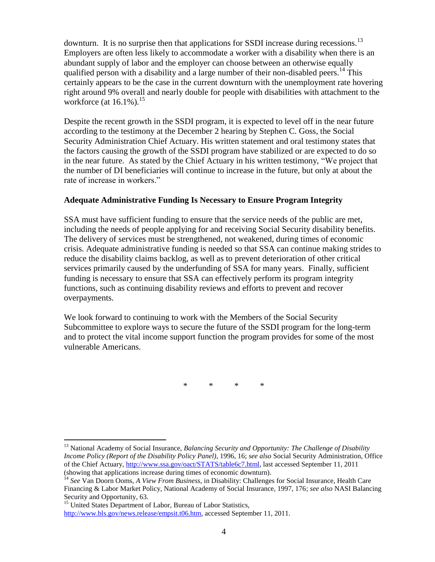downturn. It is no surprise then that applications for SSDI increase during recessions.<sup>13</sup> Employers are often less likely to accommodate a worker with a disability when there is an abundant supply of labor and the employer can choose between an otherwise equally qualified person with a disability and a large number of their non-disabled peers.<sup>14</sup> This certainly appears to be the case in the current downturn with the unemployment rate hovering right around 9% overall and nearly double for people with disabilities with attachment to the workforce (at  $16.1\%$ ).<sup>15</sup>

Despite the recent growth in the SSDI program, it is expected to level off in the near future according to the testimony at the December 2 hearing by Stephen C. Goss, the Social Security Administration Chief Actuary. His written statement and oral testimony states that the factors causing the growth of the SSDI program have stabilized or are expected to do so in the near future. As stated by the Chief Actuary in his written testimony, "We project that the number of DI beneficiaries will continue to increase in the future, but only at about the rate of increase in workers."

#### **Adequate Administrative Funding Is Necessary to Ensure Program Integrity**

SSA must have sufficient funding to ensure that the service needs of the public are met, including the needs of people applying for and receiving Social Security disability benefits. The delivery of services must be strengthened, not weakened, during times of economic crisis. Adequate administrative funding is needed so that SSA can continue making strides to reduce the disability claims backlog, as well as to prevent deterioration of other critical services primarily caused by the underfunding of SSA for many years. Finally, sufficient funding is necessary to ensure that SSA can effectively perform its program integrity functions, such as continuing disability reviews and efforts to prevent and recover overpayments.

We look forward to continuing to work with the Members of the Social Security Subcommittee to explore ways to secure the future of the SSDI program for the long-term and to protect the vital income support function the program provides for some of the most vulnerable Americans.

\* \* \* \*

 $\overline{a}$ <sup>13</sup> National Academy of Social Insurance, *Balancing Security and Opportunity: The Challenge of Disability Income Policy (Report of the Disability Policy Panel)*, 1996, 16; *see also* Social Security Administration, Office of the Chief Actuary, [http://www.ssa.gov/oact/STATS/table6c7.html,](http://www.ssa.gov/oact/STATS/table6c7.html) last accessed September 11, 2011 (showing that applications increase during times of economic downturn).

<sup>&</sup>lt;sup>14</sup> See Van Doorn Ooms, *A View From Business*, in Disability: Challenges for Social Insurance, Health Care Financing & Labor Market Policy, National Academy of Social Insurance, 1997, 176; *see also* NASI Balancing Security and Opportunity, 63.

<sup>&</sup>lt;sup>15</sup> United States Department of Labor, Bureau of Labor Statistics, [http://www.bls.gov/news.release/empsit.t06.htm,](http://www.bls.gov/news.release/empsit.t06.htm) accessed September 11, 2011.